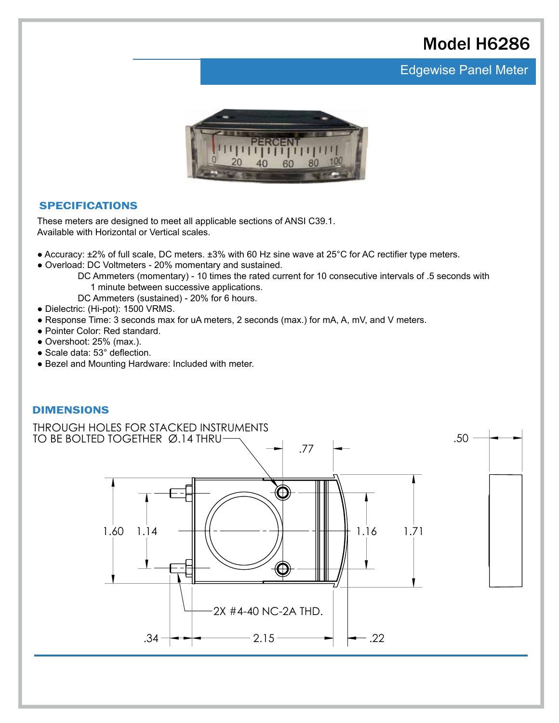# Model H6286

### **Edgewise Panel Meter**



#### SPECIFICATIONS

These meters are designed to meet all applicable sections of ANSI C39.1. Available with Horizontal or Vertical scales.

- Accuracy: ±2% of full scale, DC meters. ±3% with 60 Hz sine wave at 25°C for AC rectifier type meters.
- Overload: DC Voltmeters 20% momentary and sustained.
	- DC Ammeters (momentary) 10 times the rated current for 10 consecutive intervals of .5 seconds with 1 minute between successive applications.
	- DC Ammeters (sustained) 20% for 6 hours.
- Dielectric: (Hi-pot): 1500 VRMS.
- Response Time: 3 seconds max for uA meters, 2 seconds (max.) for mA, A, mV, and V meters.
- Pointer Color: Red standard.
- Overshoot: 25% (max.).
- Scale data: 53° deflection.
- Bezel and Mounting Hardware: Included with meter.

#### DIMENSIONS